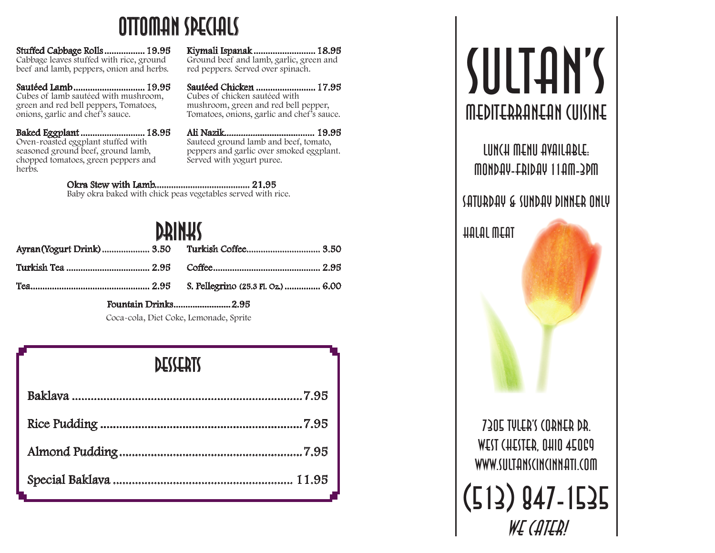### Ottoman Specials

Stuffed Cabbage Rolls................. 19.95 Cabbage leaves stuffed with rice, ground beef and lamb, peppers, onion and herbs.

Sautéed Lamb .............................. 19.95 Cubes of lamb sautéed with mushroom, green and red bell peppers, Tomatoes, onions, garlic and chef's sauce.

Baked Eggplant ........................... 18.95 Oven-roasted eggplant stuffed with seasoned ground beef, ground lamb, chopped tomatoes, green peppers and herb<sub>s</sub>.

Kiymali Ispanak .......................... 18.95 Ground beef and lamb, garlic, green and red peppers. Served over spinach.

Sautéed Chicken ......................... 17.95 Cubes of chicken sautéed with mushroom, green and red bell pepper, Tomatoes, onions, garlic and chef's sauce.

Ali Nazik...................................... 19.95 Sauteed ground lamb and beef, tomato, peppers and garlic over smoked eggplant. Served with yogurt puree.

Okra Stew with Lamb........................................ 21.95 Baby okra baked with chick peas vegetables served with rice.

## **DRINKS**

Fountain Drinks ........................2.95

Coca-cola, Diet Coke, Lemonade, Sprite

#### **DESSERTS**

# SULTAN'S Mediterranean Cuisine

Lunch Menu Available: Monday-Friday 11am-3pm

#### Saturday & Sunday Dinner Only

Halal Meat

7305 Tyler's Corner Dr. WEST CHESTER, OHIO 45069 www.sultanscincinnati.com (513) 847-1535

WE (ATER!